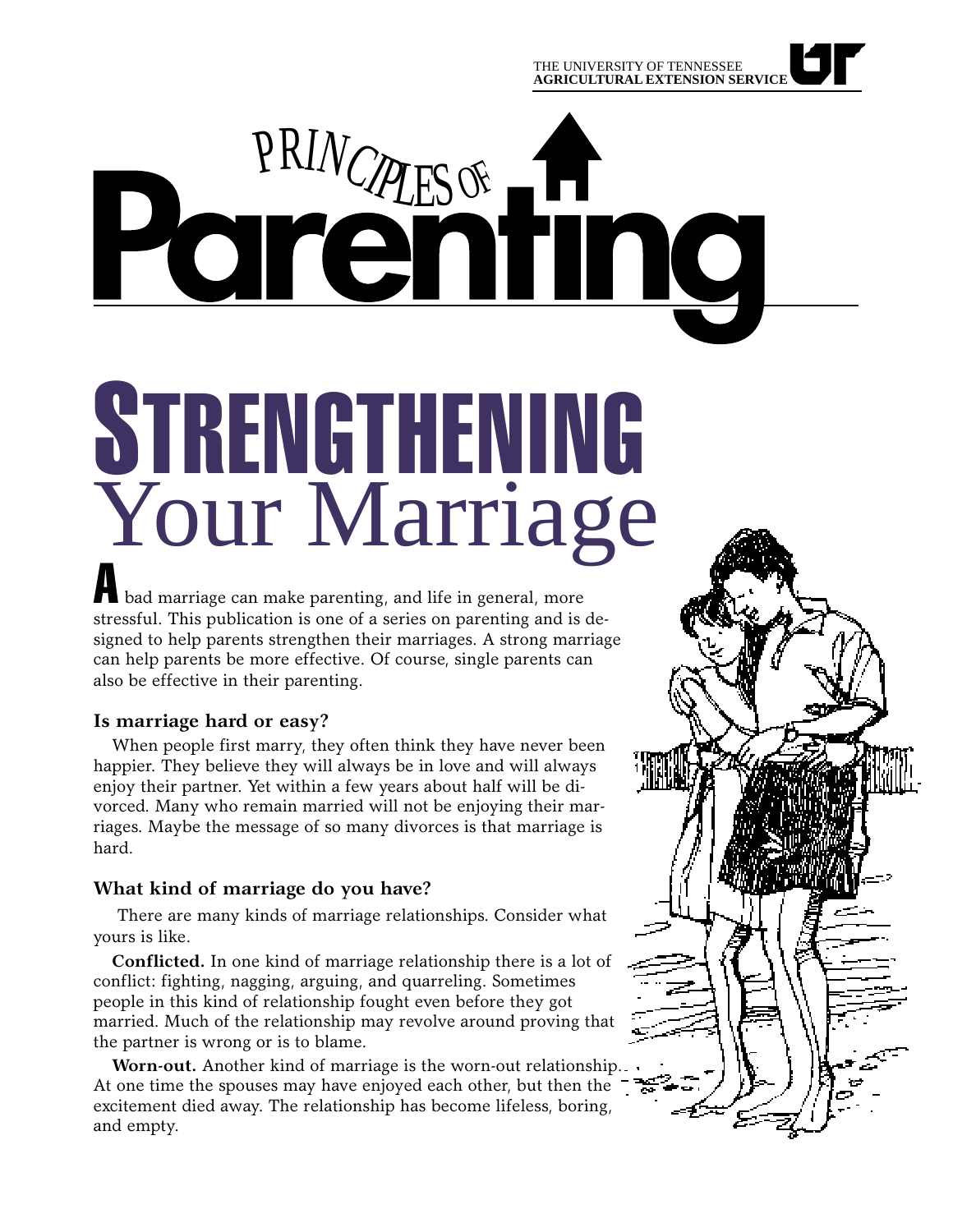THE UNIVERSITY OF TENNESSEE **AGRICULTURAL EXTENSION SERVICE**

# PRINCIPLES OF no

# A bad marriage can make parenting, and life in general, more STRENGTHENING Your Marriage

stressful. This publication is one of a series on parenting and is designed to help parents strengthen their marriages. A strong marriage can help parents be more effective. Of course, single parents can also be effective in their parenting.

## **Is marriage hard or easy?**

When people first marry, they often think they have never been happier. They believe they will always be in love and will always enjoy their partner. Yet within a few years about half will be divorced. Many who remain married will not be enjoying their marriages. Maybe the message of so many divorces is that marriage is hard.

# **What kind of marriage do you have?**

 There are many kinds of marriage relationships. Consider what yours is like.

**Conflicted.** In one kind of marriage relationship there is a lot of conflict: fighting, nagging, arguing, and quarreling. Sometimes people in this kind of relationship fought even before they got married. Much of the relationship may revolve around proving that the partner is wrong or is to blame.

**Worn-out.** Another kind of marriage is the worn-out relationship. At one time the spouses may have enjoyed each other, but then the excitement died away. The relationship has become lifeless, boring, and empty.

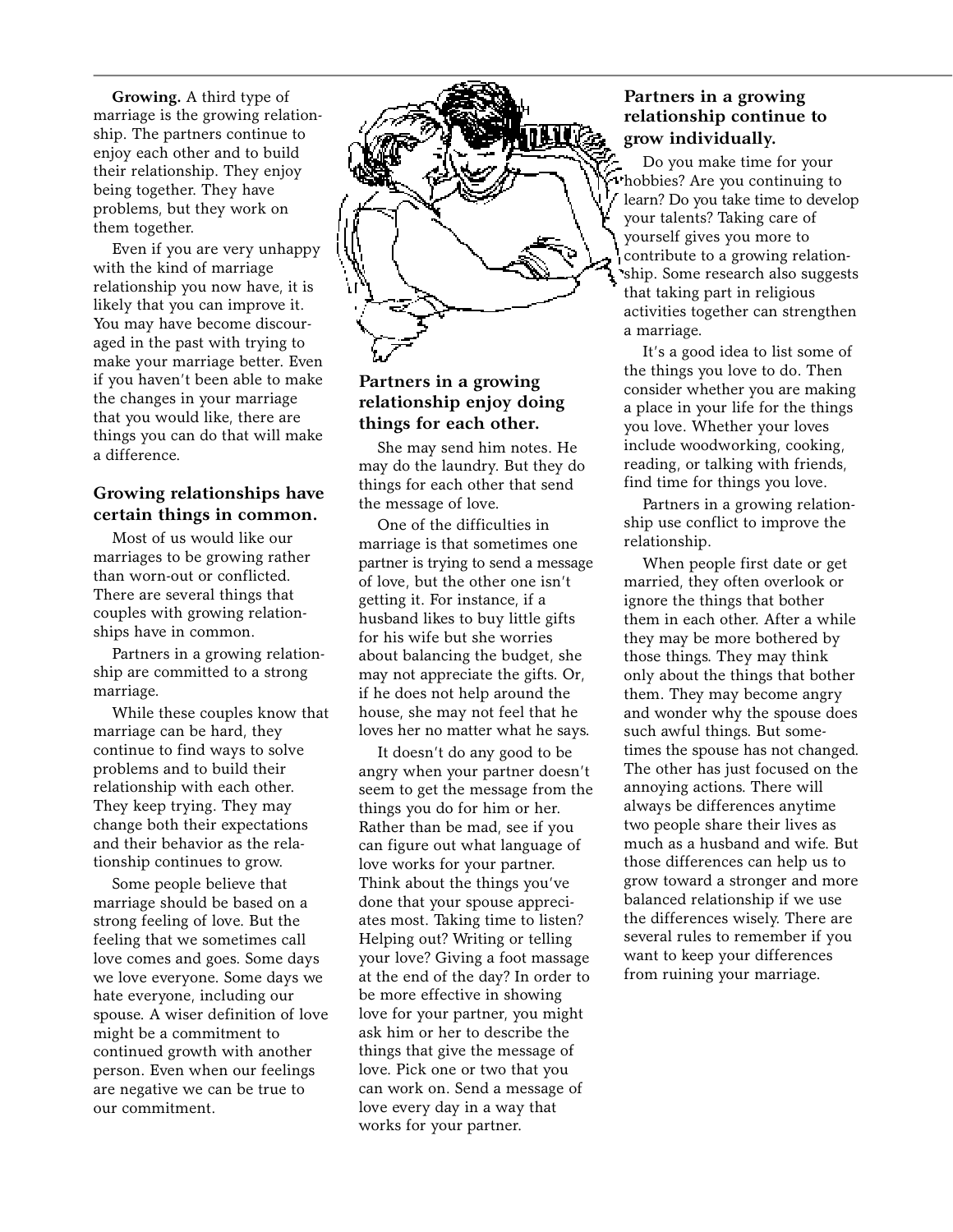**Growing.** A third type of marriage is the growing relationship. The partners continue to enjoy each other and to build their relationship. They enjoy being together. They have problems, but they work on them together.

Even if you are very unhappy with the kind of marriage relationship you now have, it is likely that you can improve it. You may have become discouraged in the past with trying to make your marriage better. Even if you haven't been able to make the changes in your marriage that you would like, there are things you can do that will make a difference.

#### **Growing relationships have certain things in common.**

Most of us would like our marriages to be growing rather than worn-out or conflicted. There are several things that couples with growing relationships have in common.

Partners in a growing relationship are committed to a strong marriage.

While these couples know that marriage can be hard, they continue to find ways to solve problems and to build their relationship with each other. They keep trying. They may change both their expectations and their behavior as the relationship continues to grow.

Some people believe that marriage should be based on a strong feeling of love. But the feeling that we sometimes call love comes and goes. Some days we love everyone. Some days we hate everyone, including our spouse. A wiser definition of love might be a commitment to continued growth with another person. Even when our feelings are negative we can be true to our commitment.



#### **Partners in a growing relationship enjoy doing things for each other.**

She may send him notes. He may do the laundry. But they do things for each other that send the message of love.

One of the difficulties in marriage is that sometimes one partner is trying to send a message of love, but the other one isn't getting it. For instance, if a husband likes to buy little gifts for his wife but she worries about balancing the budget, she may not appreciate the gifts. Or, if he does not help around the house, she may not feel that he loves her no matter what he says.

It doesn't do any good to be angry when your partner doesn't seem to get the message from the things you do for him or her. Rather than be mad, see if you can figure out what language of love works for your partner. Think about the things you've done that your spouse appreciates most. Taking time to listen? Helping out? Writing or telling your love? Giving a foot massage at the end of the day? In order to be more effective in showing love for your partner, you might ask him or her to describe the things that give the message of love. Pick one or two that you can work on. Send a message of love every day in a way that works for your partner.

#### **Partners in a growing relationship continue to grow individually.**

Do you make time for your hobbies? Are you continuing to learn? Do you take time to develop your talents? Taking care of yourself gives you more to contribute to a growing relationship. Some research also suggests that taking part in religious activities together can strengthen a marriage.

It's a good idea to list some of the things you love to do. Then consider whether you are making a place in your life for the things you love. Whether your loves include woodworking, cooking, reading, or talking with friends, find time for things you love.

Partners in a growing relationship use conflict to improve the relationship.

When people first date or get married, they often overlook or ignore the things that bother them in each other. After a while they may be more bothered by those things. They may think only about the things that bother them. They may become angry and wonder why the spouse does such awful things. But sometimes the spouse has not changed. The other has just focused on the annoying actions. There will always be differences anytime two people share their lives as much as a husband and wife. But those differences can help us to grow toward a stronger and more balanced relationship if we use the differences wisely. There are several rules to remember if you want to keep your differences from ruining your marriage.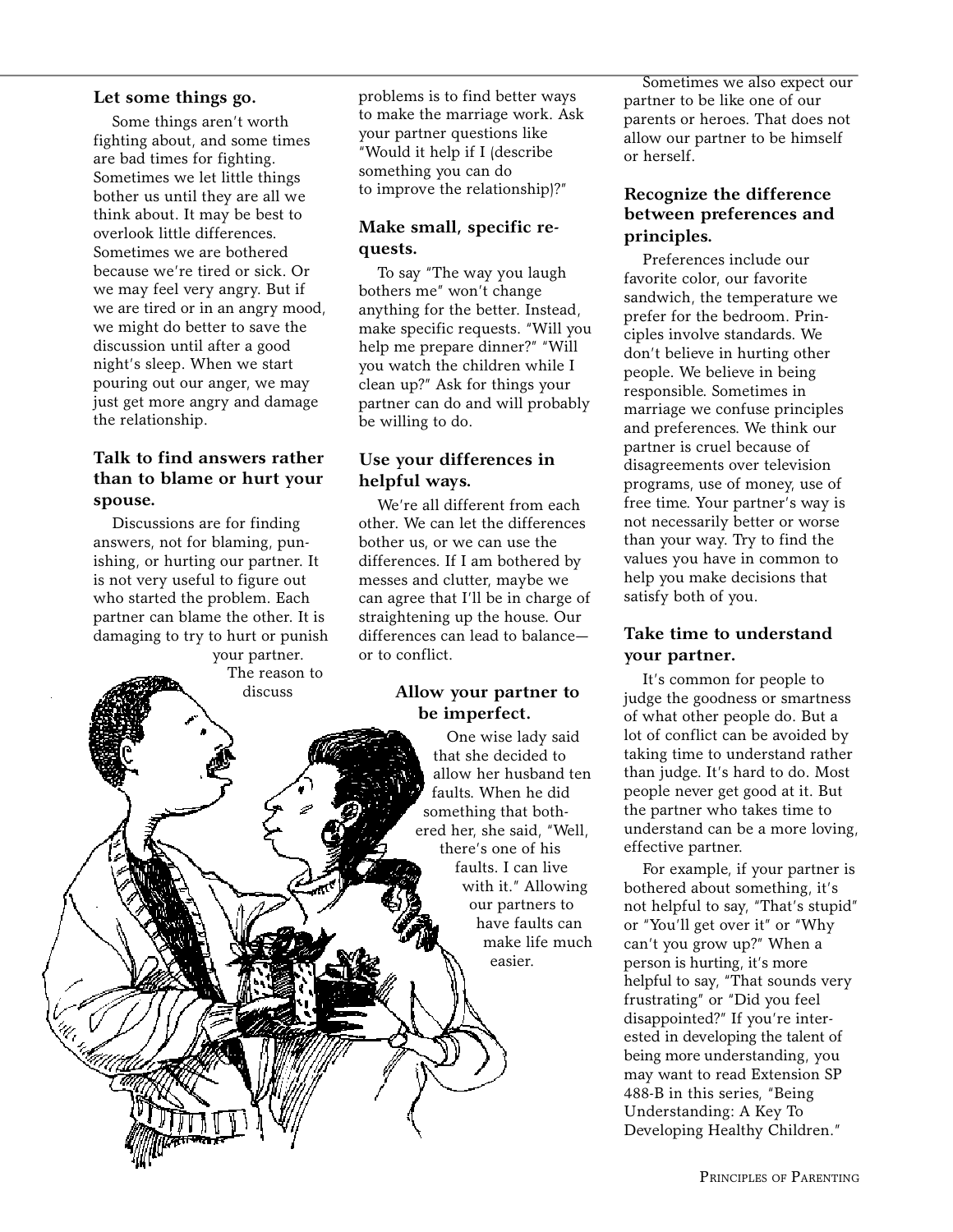#### **Let some things go.**

Some things aren't worth fighting about, and some times are bad times for fighting. Sometimes we let little things bother us until they are all we think about. It may be best to overlook little differences. Sometimes we are bothered because we're tired or sick. Or we may feel very angry. But if we are tired or in an angry mood, we might do better to save the discussion until after a good night's sleep. When we start pouring out our anger, we may just get more angry and damage the relationship.

#### **Talk to find answers rather than to blame or hurt your spouse.**

Discussions are for finding answers, not for blaming, punishing, or hurting our partner. It is not very useful to figure out who started the problem. Each partner can blame the other. It is damaging to try to hurt or punish

your partner. The reason to discuss

problems is to find better ways to make the marriage work. Ask your partner questions like "Would it help if I (describe something you can do to improve the relationship)?"

## **Make small, specific requests.**

To say "The way you laugh bothers me" won't change anything for the better. Instead, make specific requests. "Will you help me prepare dinner?" "Will you watch the children while I clean up?" Ask for things your partner can do and will probably be willing to do.

#### **Use your differences in helpful ways.**

We're all different from each other. We can let the differences bother us, or we can use the differences. If I am bothered by messes and clutter, maybe we can agree that I'll be in charge of straightening up the house. Our differences can lead to balance or to conflict.

#### **Allow your partner to be imperfect.**

One wise lady said that she decided to allow her husband ten faults. When he did something that bothered her, she said, "Well, there's one of his faults. I can live with it." Allowing our partners to have faults can make life much easier.

Sometimes we also expect our partner to be like one of our parents or heroes. That does not allow our partner to be himself or herself.

#### **Recognize the difference between preferences and principles.**

Preferences include our favorite color, our favorite sandwich, the temperature we prefer for the bedroom. Principles involve standards. We don't believe in hurting other people. We believe in being responsible. Sometimes in marriage we confuse principles and preferences. We think our partner is cruel because of disagreements over television programs, use of money, use of free time. Your partner's way is not necessarily better or worse than your way. Try to find the values you have in common to help you make decisions that satisfy both of you.

#### **Take time to understand your partner.**

It's common for people to judge the goodness or smartness of what other people do. But a lot of conflict can be avoided by taking time to understand rather than judge. It's hard to do. Most people never get good at it. But the partner who takes time to understand can be a more loving, effective partner.

For example, if your partner is bothered about something, it's not helpful to say, "That's stupid" or "You'll get over it" or "Why can't you grow up?" When a person is hurting, it's more helpful to say, "That sounds very frustrating" or "Did you feel disappointed?" If you're interested in developing the talent of being more understanding, you may want to read Extension SP 488-B in this series, "Being Understanding: A Key To Developing Healthy Children."